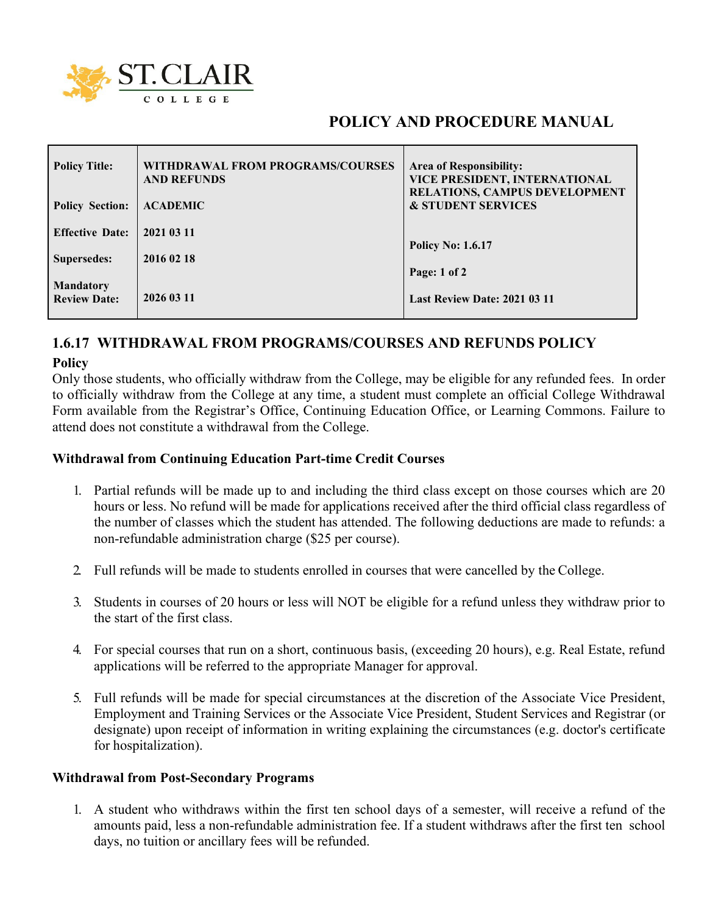

# **POLICY AND PROCEDURE MANUAL**

| <b>Policy Title:</b>   | WITHDRAWAL FROM PROGRAMS/COURSES<br><b>AND REFUNDS</b> | <b>Area of Responsibility:</b><br>VICE PRESIDENT, INTERNATIONAL<br><b>RELATIONS, CAMPUS DEVELOPMENT</b> |
|------------------------|--------------------------------------------------------|---------------------------------------------------------------------------------------------------------|
| <b>Policy Section:</b> | <b>ACADEMIC</b>                                        | <b>&amp; STUDENT SERVICES</b>                                                                           |
| <b>Effective Date:</b> | 2021 03 11                                             |                                                                                                         |
| Supersedes:            | 2016 02 18                                             | <b>Policy No: 1.6.17</b>                                                                                |
| <b>Mandatory</b>       |                                                        | Page: 1 of 2                                                                                            |
| <b>Review Date:</b>    | 2026 03 11                                             | <b>Last Review Date: 2021 03 11</b>                                                                     |

## **1.6.17 WITHDRAWAL FROM PROGRAMS/COURSES AND REFUNDS POLICY Policy**

Only those students, who officially withdraw from the College, may be eligible for any refunded fees. In order to officially withdraw from the College at any time, a student must complete an official College Withdrawal Form available from the Registrar's Office, Continuing Education Office, or Learning Commons. Failure to attend does not constitute a withdrawal from the College.

#### **Withdrawal from Continuing Education Part-time Credit Courses**

- 1. Partial refunds will be made up to and including the third class except on those courses which are 20 hours or less. No refund will be made for applications received after the third official class regardless of the number of classes which the student has attended. The following deductions are made to refunds: a non-refundable administration charge (\$25 per course).
- 2. Full refunds will be made to students enrolled in courses that were cancelled by the College.
- 3. Students in courses of 20 hours or less will NOT be eligible for a refund unless they withdraw prior to the start of the first class.
- 4. For special courses that run on a short, continuous basis, (exceeding 20 hours), e.g. Real Estate, refund applications will be referred to the appropriate Manager for approval.
- 5. Full refunds will be made for special circumstances at the discretion of the Associate Vice President, Employment and Training Services or the Associate Vice President, Student Services and Registrar (or designate) upon receipt of information in writing explaining the circumstances (e.g. doctor's certificate for hospitalization).

#### **Withdrawal from Post-Secondary Programs**

1. A student who withdraws within the first ten school days of a semester, will receive a refund of the amounts paid, less a non-refundable administration fee. If a student withdraws after the first ten school days, no tuition or ancillary fees will be refunded.